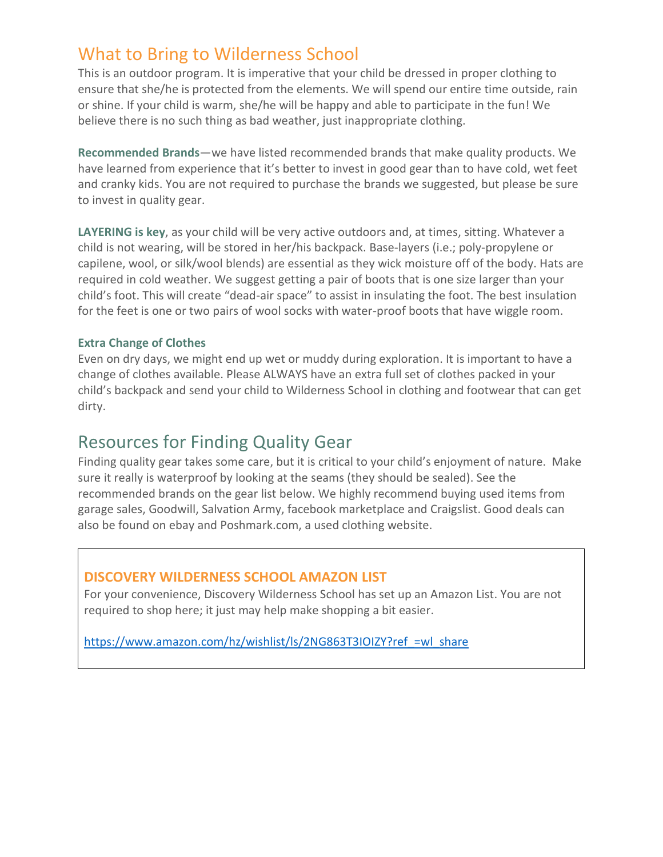### What to Bring to Wilderness School

This is an outdoor program. It is imperative that your child be dressed in proper clothing to ensure that she/he is protected from the elements. We will spend our entire time outside, rain or shine. If your child is warm, she/he will be happy and able to participate in the fun! We believe there is no such thing as bad weather, just inappropriate clothing.

**Recommended Brands**—we have listed recommended brands that make quality products. We have learned from experience that it's better to invest in good gear than to have cold, wet feet and cranky kids. You are not required to purchase the brands we suggested, but please be sure to invest in quality gear.

**LAYERING is key**, as your child will be very active outdoors and, at times, sitting. Whatever a child is not wearing, will be stored in her/his backpack. Base-layers (i.e.; poly-propylene or capilene, wool, or silk/wool blends) are essential as they wick moisture off of the body. Hats are required in cold weather. We suggest getting a pair of boots that is one size larger than your child's foot. This will create "dead-air space" to assist in insulating the foot. The best insulation for the feet is one or two pairs of wool socks with water-proof boots that have wiggle room.

#### **Extra Change of Clothes**

Even on dry days, we might end up wet or muddy during exploration. It is important to have a change of clothes available. Please ALWAYS have an extra full set of clothes packed in your child's backpack and send your child to Wilderness School in clothing and footwear that can get dirty.

### Resources for Finding Quality Gear

Finding quality gear takes some care, but it is critical to your child's enjoyment of nature. Make sure it really is waterproof by looking at the seams (they should be sealed). See the recommended brands on the gear list below. We highly recommend buying used items from garage sales, Goodwill, Salvation Army, facebook marketplace and Craigslist. Good deals can also be found on ebay and Poshmark.com, a used clothing website.

#### **DISCOVERY WILDERNESS SCHOOL AMAZON LIST**

For your convenience, Discovery Wilderness School has set up an Amazon List. You are not required to shop here; it just may help make shopping a bit easier.

https://www.amazon.com/hz/wishlist/ls/2NG863T3IOIZY?ref =wl\_share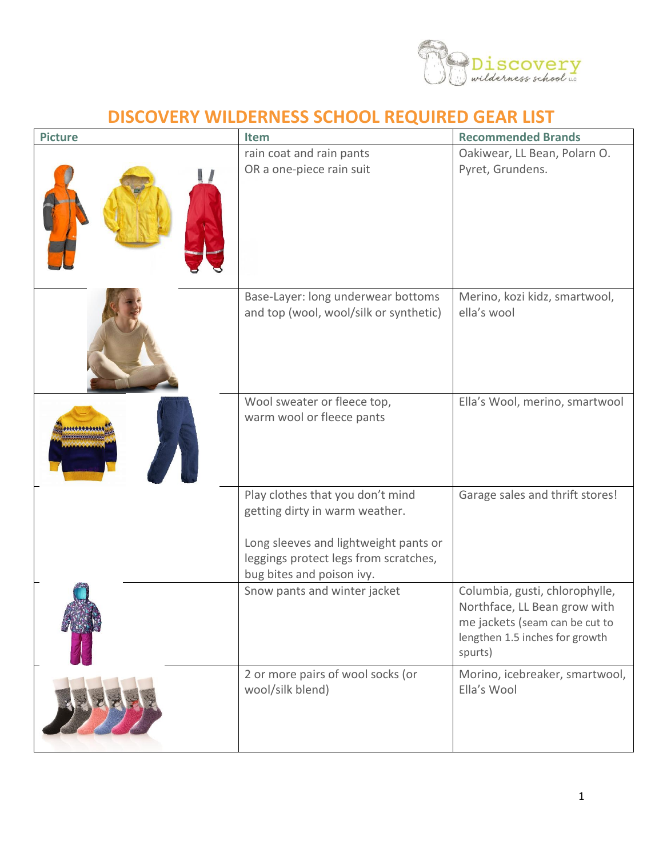

## **DISCOVERY WILDERNESS SCHOOL REQUIRED GEAR LIST**

| <b>Picture</b> | Item                                                                                                                                                                              | <b>Recommended Brands</b>                                                                                                                     |
|----------------|-----------------------------------------------------------------------------------------------------------------------------------------------------------------------------------|-----------------------------------------------------------------------------------------------------------------------------------------------|
|                | rain coat and rain pants<br>OR a one-piece rain suit                                                                                                                              | Oakiwear, LL Bean, Polarn O.<br>Pyret, Grundens.                                                                                              |
|                | Base-Layer: long underwear bottoms<br>and top (wool, wool/silk or synthetic)                                                                                                      | Merino, kozi kidz, smartwool,<br>ella's wool                                                                                                  |
|                | Wool sweater or fleece top,<br>warm wool or fleece pants                                                                                                                          | Ella's Wool, merino, smartwool                                                                                                                |
|                | Play clothes that you don't mind<br>getting dirty in warm weather.<br>Long sleeves and lightweight pants or<br>leggings protect legs from scratches,<br>bug bites and poison ivy. | Garage sales and thrift stores!                                                                                                               |
|                | Snow pants and winter jacket                                                                                                                                                      | Columbia, gusti, chlorophylle,<br>Northface, LL Bean grow with<br>me jackets (seam can be cut to<br>lengthen 1.5 inches for growth<br>spurts) |
|                | 2 or more pairs of wool socks (or<br>wool/silk blend)                                                                                                                             | Morino, icebreaker, smartwool,<br>Ella's Wool                                                                                                 |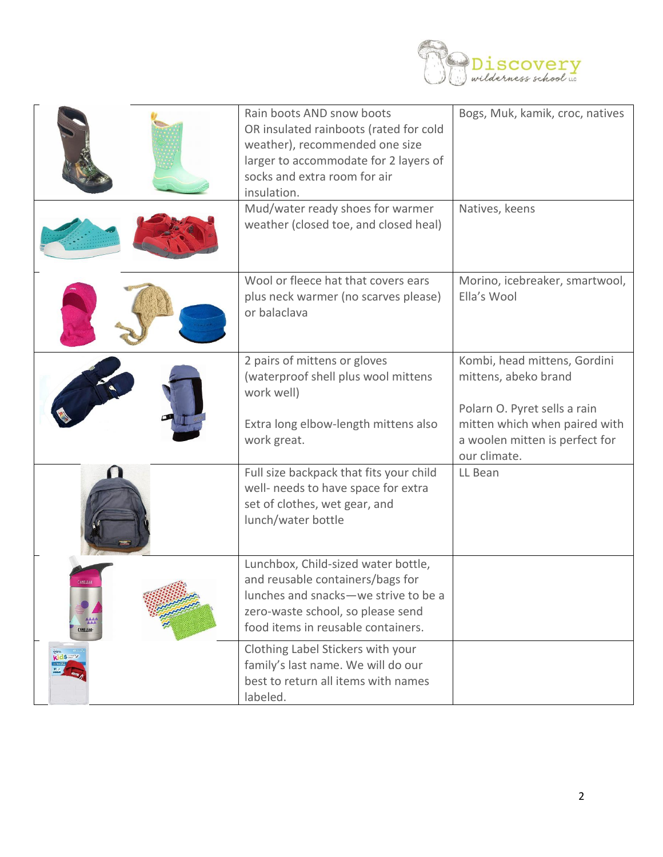

|                                  | Rain boots AND snow boots<br>OR insulated rainboots (rated for cold<br>weather), recommended one size<br>larger to accommodate for 2 layers of<br>socks and extra room for air<br>insulation.<br>Mud/water ready shoes for warmer | Bogs, Muk, kamik, croc, natives<br>Natives, keens                                    |
|----------------------------------|-----------------------------------------------------------------------------------------------------------------------------------------------------------------------------------------------------------------------------------|--------------------------------------------------------------------------------------|
|                                  | weather (closed toe, and closed heal)                                                                                                                                                                                             |                                                                                      |
|                                  | Wool or fleece hat that covers ears<br>plus neck warmer (no scarves please)<br>or balaclava                                                                                                                                       | Morino, icebreaker, smartwool,<br>Ella's Wool                                        |
|                                  | 2 pairs of mittens or gloves<br>(waterproof shell plus wool mittens<br>work well)                                                                                                                                                 | Kombi, head mittens, Gordini<br>mittens, abeko brand<br>Polarn O. Pyret sells a rain |
|                                  | Extra long elbow-length mittens also<br>work great.                                                                                                                                                                               | mitten which when paired with<br>a woolen mitten is perfect for<br>our climate.      |
|                                  | Full size backpack that fits your child<br>well- needs to have space for extra<br>set of clothes, wet gear, and<br>lunch/water bottle                                                                                             | LL Bean                                                                              |
| <b>AMELBA</b><br><b>AMELBAK-</b> | Lunchbox, Child-sized water bottle,<br>and reusable containers/bags for<br>lunches and snacks-we strive to be a<br>zero-waste school, so please send<br>food items in reusable containers.                                        |                                                                                      |
| kidswy                           | Clothing Label Stickers with your<br>family's last name. We will do our<br>best to return all items with names<br>labeled.                                                                                                        |                                                                                      |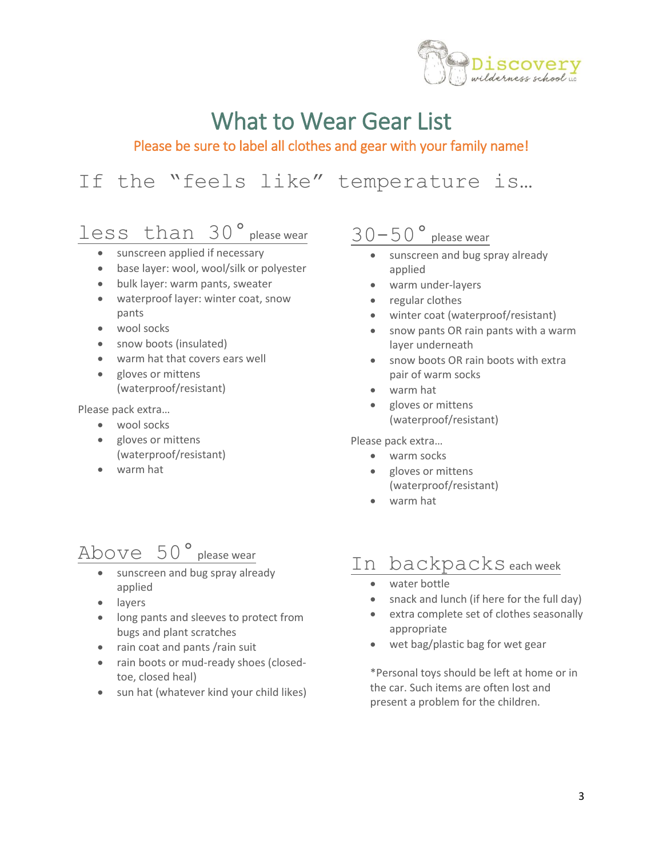

# What to Wear Gear List

### Please be sure to label all clothes and gear with your family name!

# If the "feels like" temperature is…

## less than 30° please wear

- sunscreen applied if necessary
- base layer: wool, wool/silk or polyester
- bulk layer: warm pants, sweater
- waterproof layer: winter coat, snow pants
- wool socks
- snow boots (insulated)
- warm hat that covers ears well
- gloves or mittens (waterproof/resistant)

Please pack extra…

- wool socks
- gloves or mittens (waterproof/resistant)
- warm hat

# $\text{Above } 50$   $^{\circ}$  please wear

- sunscreen and bug spray already applied
- layers
- long pants and sleeves to protect from bugs and plant scratches
- rain coat and pants / rain suit
- rain boots or mud-ready shoes (closedtoe, closed heal)
- sun hat (whatever kind your child likes)

## 30-50° please wear

- sunscreen and bug spray already applied
- warm under-layers
- regular clothes
- winter coat (waterproof/resistant)
- snow pants OR rain pants with a warm layer underneath
- snow boots OR rain boots with extra pair of warm socks
- warm hat
- gloves or mittens (waterproof/resistant)

Please pack extra…

- warm socks
- gloves or mittens (waterproof/resistant)
- warm hat

## In backpacks each week

- water bottle
- snack and lunch (if here for the full day)
- extra complete set of clothes seasonally appropriate
- wet bag/plastic bag for wet gear

\*Personal toys should be left at home or in the car. Such items are often lost and present a problem for the children.